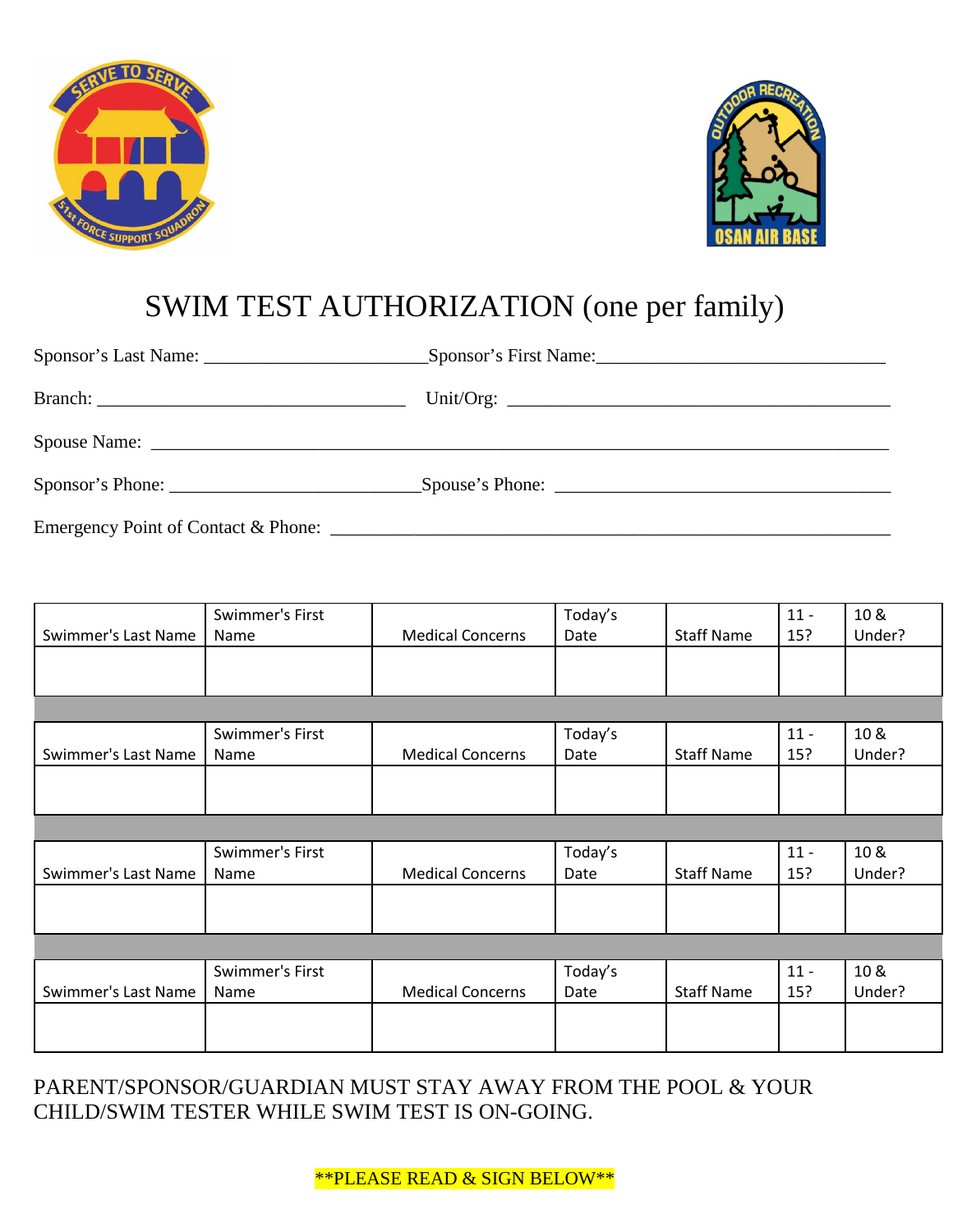



## SWIM TEST AUTHORIZATION (one per family)

|                     | Swimmer's First |                         | Today's |                   | $11 -$ | 10 &   |  |  |
|---------------------|-----------------|-------------------------|---------|-------------------|--------|--------|--|--|
| Swimmer's Last Name | Name            | <b>Medical Concerns</b> | Date    | <b>Staff Name</b> | 15?    | Under? |  |  |
|                     |                 |                         |         |                   |        |        |  |  |
|                     |                 |                         |         |                   |        |        |  |  |
|                     |                 |                         |         |                   |        |        |  |  |
|                     | Swimmer's First |                         | Today's |                   | $11 -$ | 10 &   |  |  |
| Swimmer's Last Name | Name            | <b>Medical Concerns</b> | Date    | <b>Staff Name</b> | 15?    | Under? |  |  |
|                     |                 |                         |         |                   |        |        |  |  |
|                     |                 |                         |         |                   |        |        |  |  |
|                     |                 |                         |         |                   |        |        |  |  |
|                     | Swimmer's First |                         | Today's |                   | $11 -$ | 10 &   |  |  |
| Swimmer's Last Name | Name            | <b>Medical Concerns</b> | Date    | <b>Staff Name</b> | 15?    | Under? |  |  |
|                     |                 |                         |         |                   |        |        |  |  |
|                     |                 |                         |         |                   |        |        |  |  |
|                     |                 |                         |         |                   |        |        |  |  |
|                     | Swimmer's First |                         | Today's |                   | $11 -$ | 10 &   |  |  |
| Swimmer's Last Name | Name            | <b>Medical Concerns</b> | Date    | <b>Staff Name</b> | 15?    | Under? |  |  |
|                     |                 |                         |         |                   |        |        |  |  |
|                     |                 |                         |         |                   |        |        |  |  |

PARENT/SPONSOR/GUARDIAN MUST STAY AWAY FROM THE POOL & YOUR CHILD/SWIM TESTER WHILE SWIM TEST IS ON-GOING.